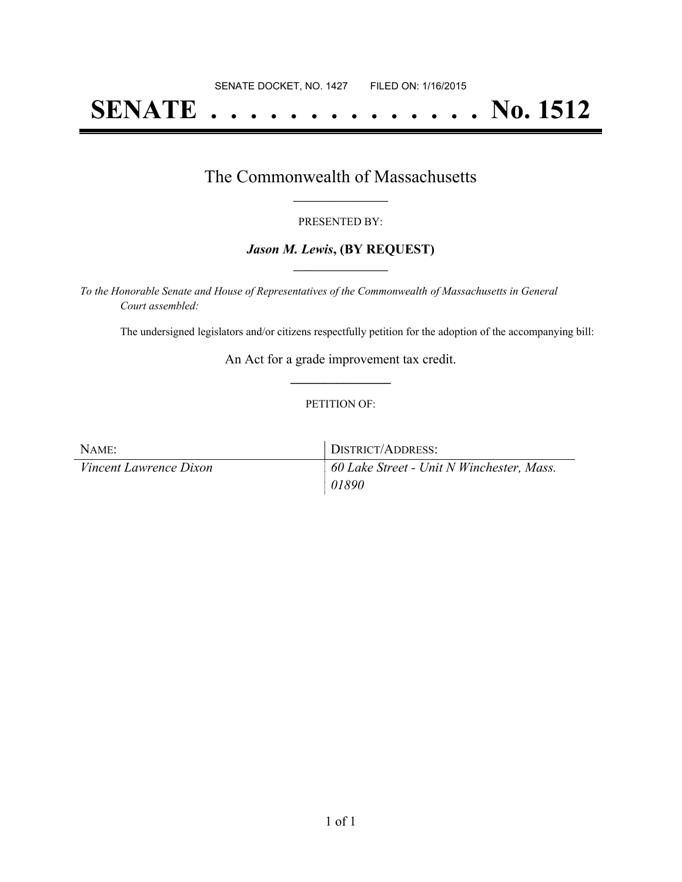# **SENATE . . . . . . . . . . . . . . No. 1512**

### The Commonwealth of Massachusetts **\_\_\_\_\_\_\_\_\_\_\_\_\_\_\_\_\_**

#### PRESENTED BY:

#### *Jason M. Lewis***, (BY REQUEST) \_\_\_\_\_\_\_\_\_\_\_\_\_\_\_\_\_**

*To the Honorable Senate and House of Representatives of the Commonwealth of Massachusetts in General Court assembled:*

The undersigned legislators and/or citizens respectfully petition for the adoption of the accompanying bill:

An Act for a grade improvement tax credit. **\_\_\_\_\_\_\_\_\_\_\_\_\_\_\_**

#### PETITION OF:

| NAME:                         | DISTRICT/ADDRESS:                         |
|-------------------------------|-------------------------------------------|
| <i>Vincent Lawrence Dixon</i> | 60 Lake Street - Unit N Winchester, Mass. |
|                               | 01890                                     |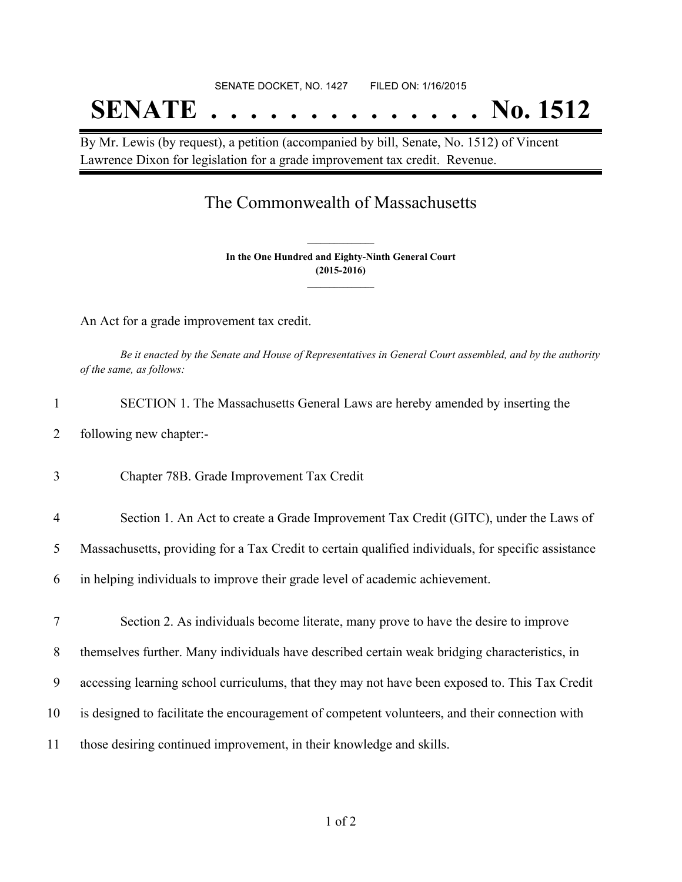# SENATE DOCKET, NO. 1427 FILED ON: 1/16/2015 **SENATE . . . . . . . . . . . . . . No. 1512**

By Mr. Lewis (by request), a petition (accompanied by bill, Senate, No. 1512) of Vincent Lawrence Dixon for legislation for a grade improvement tax credit. Revenue.

## The Commonwealth of Massachusetts

**In the One Hundred and Eighty-Ninth General Court (2015-2016) \_\_\_\_\_\_\_\_\_\_\_\_\_\_\_**

**\_\_\_\_\_\_\_\_\_\_\_\_\_\_\_**

An Act for a grade improvement tax credit.

Be it enacted by the Senate and House of Representatives in General Court assembled, and by the authority *of the same, as follows:*

- 1 SECTION 1. The Massachusetts General Laws are hereby amended by inserting the
- 2 following new chapter:-
- 3 Chapter 78B. Grade Improvement Tax Credit
- 4 Section 1. An Act to create a Grade Improvement Tax Credit (GITC), under the Laws of

5 Massachusetts, providing for a Tax Credit to certain qualified individuals, for specific assistance

6 in helping individuals to improve their grade level of academic achievement.

7 Section 2. As individuals become literate, many prove to have the desire to improve

8 themselves further. Many individuals have described certain weak bridging characteristics, in

- 9 accessing learning school curriculums, that they may not have been exposed to. This Tax Credit
- 10 is designed to facilitate the encouragement of competent volunteers, and their connection with
- 11 those desiring continued improvement, in their knowledge and skills.